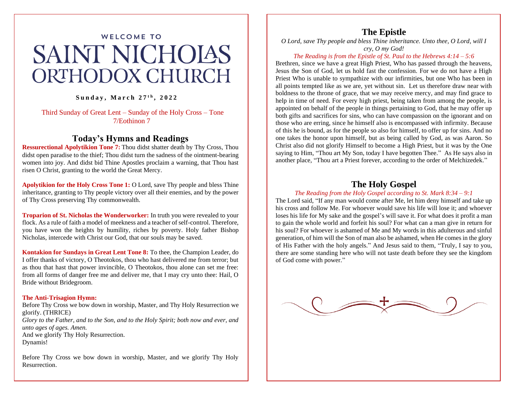# **WELCOME TO SAINT NICHOIAS ORTHODOX CHURCH**

### **S u n d a y , M a r c h 2 7 t h , 2 0 2 2**

Third Sunday of Great Lent – Sunday of the Holy Cross – Tone 7/Eothinon 7

## **Today's Hymns and Readings**

**Ressurectional Apolytikion Tone 7:** Thou didst shatter death by Thy Cross, Thou didst open paradise to the thief; Thou didst turn the sadness of the ointment-bearing women into joy. And didst bid Thine Apostles proclaim a warning, that Thou hast risen O Christ, granting to the world the Great Mercy.

**Apolytikion for the Holy Cross Tone 1:** O Lord, save Thy people and bless Thine inheritance, granting to Thy people victory over all their enemies, and by the power of Thy Cross preserving Thy commonwealth.

**Troparion of St. Nicholas the Wonderworker:** In truth you were revealed to your flock. As a rule of faith a model of meekness and a teacher of self-control. Therefore, you have won the heights by humility, riches by poverty. Holy father Bishop Nicholas, intercede with Christ our God, that our souls may be saved.

**Kontakion for Sundays in Great Lent Tone 8:** To thee, the Champion Leader, do I offer thanks of victory, O Theotokos, thou who hast delivered me from terror; but as thou that hast that power invincible, O Theotokos, thou alone can set me free: from all forms of danger free me and deliver me, that I may cry unto thee: Hail, O Bride without Bridegroom.

#### **The Anti-Trisagion Hymn:**

Before Thy Cross we bow down in worship, Master, and Thy Holy Resurrection we glorify. (THRICE)

*Glory to the Father, and to the Son, and to the Holy Spirit; both now and ever, and unto ages of ages. Amen.*

And we glorify Thy Holy Resurrection.

Dynamis!

Before Thy Cross we bow down in worship, Master, and we glorify Thy Holy Resurrection.

## **The Epistle**

*O Lord, save Thy people and bless Thine inheritance. Unto thee, O Lord, will I cry, O my God!*

#### *The Reading is from the Epistle of St. Paul to the Hebrews 4:14 – 5:6*

Brethren, since we have a great High Priest, Who has passed through the heavens, Jesus the Son of God, let us hold fast the confession. For we do not have a High Priest Who is unable to sympathize with our infirmities, but one Who has been in all points tempted like as we are, yet without sin. Let us therefore draw near with boldness to the throne of grace, that we may receive mercy, and may find grace to help in time of need. For every high priest, being taken from among the people, is appointed on behalf of the people in things pertaining to God, that he may offer up both gifts and sacrifices for sins, who can have compassion on the ignorant and on those who are erring, since he himself also is encompassed with infirmity. Because of this he is bound, as for the people so also for himself, to offer up for sins. And no one takes the honor upon himself, but as being called by God, as was Aaron. So Christ also did not glorify Himself to become a High Priest, but it was by the One saying to Him, "Thou art My Son, today I have begotten Thee." As He says also in another place, "Thou art a Priest forever, according to the order of Melchizedek."

## **The Holy Gospel**

#### *The Reading from the Holy Gospel according to St. Mark 8:34 – 9:1*

The Lord said, "If any man would come after Me, let him deny himself and take up his cross and follow Me. For whoever would save his life will lose it; and whoever loses his life for My sake and the gospel's will save it. For what does it profit a man to gain the whole world and forfeit his soul? For what can a man give in return for his soul? For whoever is ashamed of Me and My words in this adulterous and sinful generation, of him will the Son of man also be ashamed, when He comes in the glory of His Father with the holy angels." And Jesus said to them, "Truly, I say to you, there are some standing here who will not taste death before they see the kingdom of God come with power."